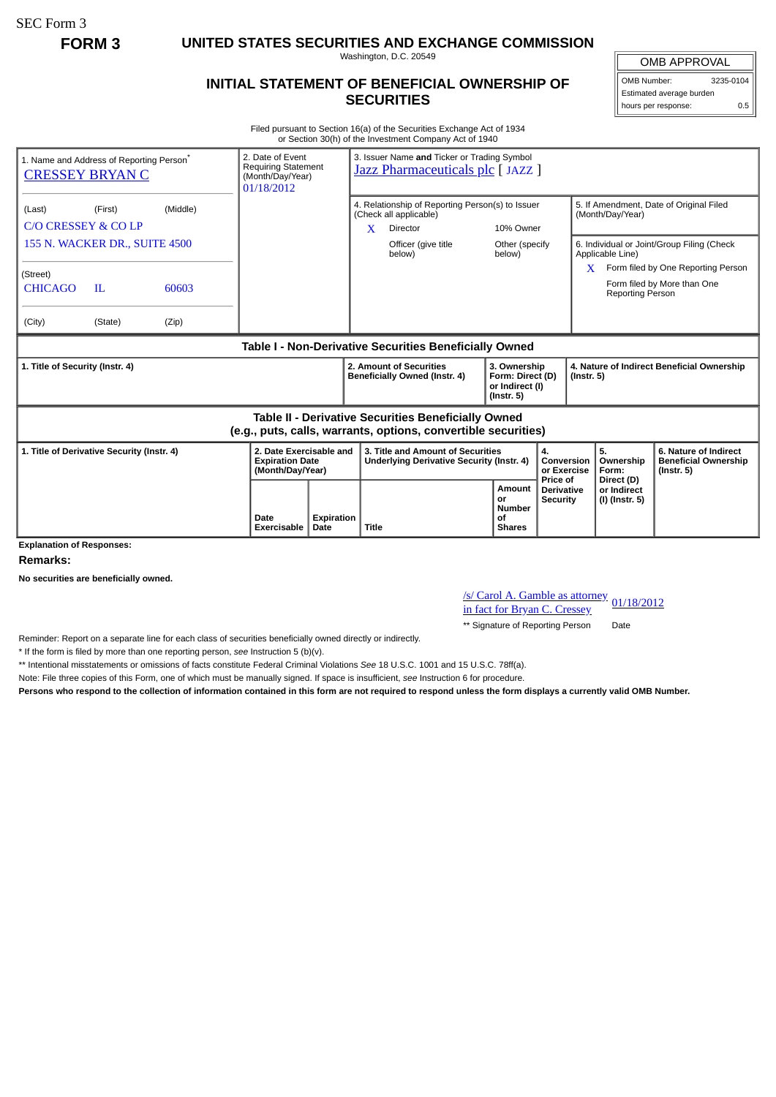SEC Form 3

**FORM 3 UNITED STATES SECURITIES AND EXCHANGE COMMISSION**

Washington, D.C. 20549

## **INITIAL STATEMENT OF BENEFICIAL OWNERSHIP OF SECURITIES**

OMB APPROVAL OMB Number: 3235-0104 Estimated average burden

hours per response: 0.5

Filed pursuant to Section 16(a) of the Securities Exchange Act of 1934 or Section 30(h) of the Investment Company Act of 1940

| 1. Name and Address of Reporting Person <sup>®</sup><br><b>CRESSEY BRYAN C</b>                                        |                                                       |       | 2. Date of Event<br><b>Requiring Statement</b><br>(Month/Day/Year)<br>01/18/2012 | 3. Issuer Name and Ticker or Trading Symbol<br>Jazz Pharmaceuticals plc [JAZZ ] |                                                                                       |                                                                                                            |                                                                         |                                                  |                                                                |                                                                          |
|-----------------------------------------------------------------------------------------------------------------------|-------------------------------------------------------|-------|----------------------------------------------------------------------------------|---------------------------------------------------------------------------------|---------------------------------------------------------------------------------------|------------------------------------------------------------------------------------------------------------|-------------------------------------------------------------------------|--------------------------------------------------|----------------------------------------------------------------|--------------------------------------------------------------------------|
| (Last)                                                                                                                | (Middle)<br>(First)<br><b>C/O CRESSEY &amp; CO LP</b> |       |                                                                                  |                                                                                 | X                                                                                     | 4. Relationship of Reporting Person(s) to Issuer<br>(Check all applicable)<br><b>Director</b><br>10% Owner |                                                                         |                                                  | 5. If Amendment, Date of Original Filed<br>(Month/Day/Year)    |                                                                          |
| 155 N. WACKER DR., SUITE 4500                                                                                         |                                                       |       |                                                                                  |                                                                                 |                                                                                       | Officer (give title<br>below)                                                                              | Other (specify<br>below)                                                |                                                  | Applicable Line)                                               | 6. Individual or Joint/Group Filing (Check                               |
| (Street)<br><b>CHICAGO</b>                                                                                            | IL                                                    | 60603 |                                                                                  |                                                                                 |                                                                                       |                                                                                                            |                                                                         |                                                  | X<br>Reporting Person                                          | Form filed by One Reporting Person<br>Form filed by More than One        |
| (City)                                                                                                                | (State)                                               | (Zip) |                                                                                  |                                                                                 |                                                                                       |                                                                                                            |                                                                         |                                                  |                                                                |                                                                          |
| Table I - Non-Derivative Securities Beneficially Owned                                                                |                                                       |       |                                                                                  |                                                                                 |                                                                                       |                                                                                                            |                                                                         |                                                  |                                                                |                                                                          |
| 1. Title of Security (Instr. 4)                                                                                       |                                                       |       |                                                                                  |                                                                                 | 2. Amount of Securities<br>Beneficially Owned (Instr. 4)                              |                                                                                                            | 3. Ownership<br>Form: Direct (D)<br>or Indirect (I)<br>$($ lnstr. 5 $)$ |                                                  | 4. Nature of Indirect Beneficial Ownership<br>$($ Instr. 5 $)$ |                                                                          |
| Table II - Derivative Securities Beneficially Owned<br>(e.g., puts, calls, warrants, options, convertible securities) |                                                       |       |                                                                                  |                                                                                 |                                                                                       |                                                                                                            |                                                                         |                                                  |                                                                |                                                                          |
| 1. Title of Derivative Security (Instr. 4)                                                                            |                                                       |       | 2. Date Exercisable and<br><b>Expiration Date</b><br>(Month/Day/Year)            |                                                                                 | 3. Title and Amount of Securities<br><b>Underlying Derivative Security (Instr. 4)</b> |                                                                                                            |                                                                         | 4.<br>Conversion<br>or Exercise                  | 5.<br>Ownership<br>Form:                                       | 6. Nature of Indirect<br><b>Beneficial Ownership</b><br>$($ lnstr. 5 $)$ |
| <b>Explanation of Responses:</b>                                                                                      |                                                       |       | Date<br>Exercisable                                                              | Expiration<br>Date                                                              | <b>Title</b>                                                                          |                                                                                                            | Amount<br>or<br>Number<br>οf<br><b>Shares</b>                           | Price of<br><b>Derivative</b><br><b>Security</b> | Direct (D)<br>or Indirect<br>(I) (Instr. 5)                    |                                                                          |

**Remarks:**

**No securities are beneficially owned.**

/s/ Carol A. Gamble as attorney in fact for Bryan C. Cressey 01/18/2012

\*\* Signature of Reporting Person Date

Reminder: Report on a separate line for each class of securities beneficially owned directly or indirectly.

\* If the form is filed by more than one reporting person, *see* Instruction 5 (b)(v).

\*\* Intentional misstatements or omissions of facts constitute Federal Criminal Violations *See* 18 U.S.C. 1001 and 15 U.S.C. 78ff(a).

Note: File three copies of this Form, one of which must be manually signed. If space is insufficient, *see* Instruction 6 for procedure.

**Persons who respond to the collection of information contained in this form are not required to respond unless the form displays a currently valid OMB Number.**